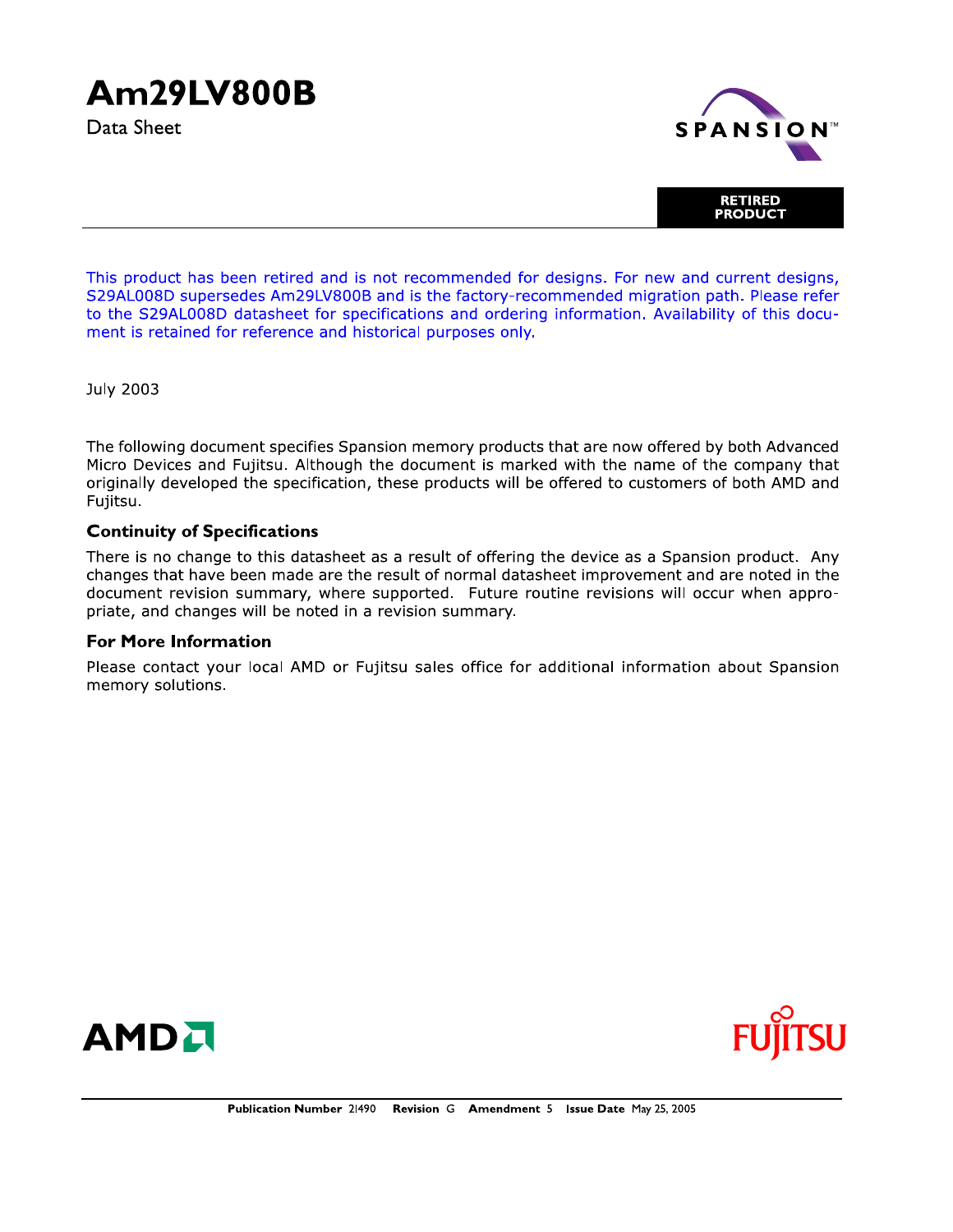## **Am29LV800B**

Data Sheet



This product has been retired and is not recommended for designs. For new and current designs, S29AL008D supersedes Am29LV800B and is the factory-recommended migration path. Please refer to the S29AL008D datasheet for specifications and ordering information. Availability of this document is retained for reference and historical purposes only.

**July 2003** 

The following document specifies Spansion memory products that are now offered by both Advanced Micro Devices and Fujitsu. Although the document is marked with the name of the company that originally developed the specification, these products will be offered to customers of both AMD and Fujitsu.

#### **Continuity of Specifications**

There is no change to this datasheet as a result of offering the device as a Spansion product. Any changes that have been made are the result of normal datasheet improvement and are noted in the document revision summary, where supported. Future routine revisions will occur when appropriate, and changes will be noted in a revision summary.

#### **For More Information**

Please contact your local AMD or Fujitsu sales office for additional information about Spansion memory solutions.



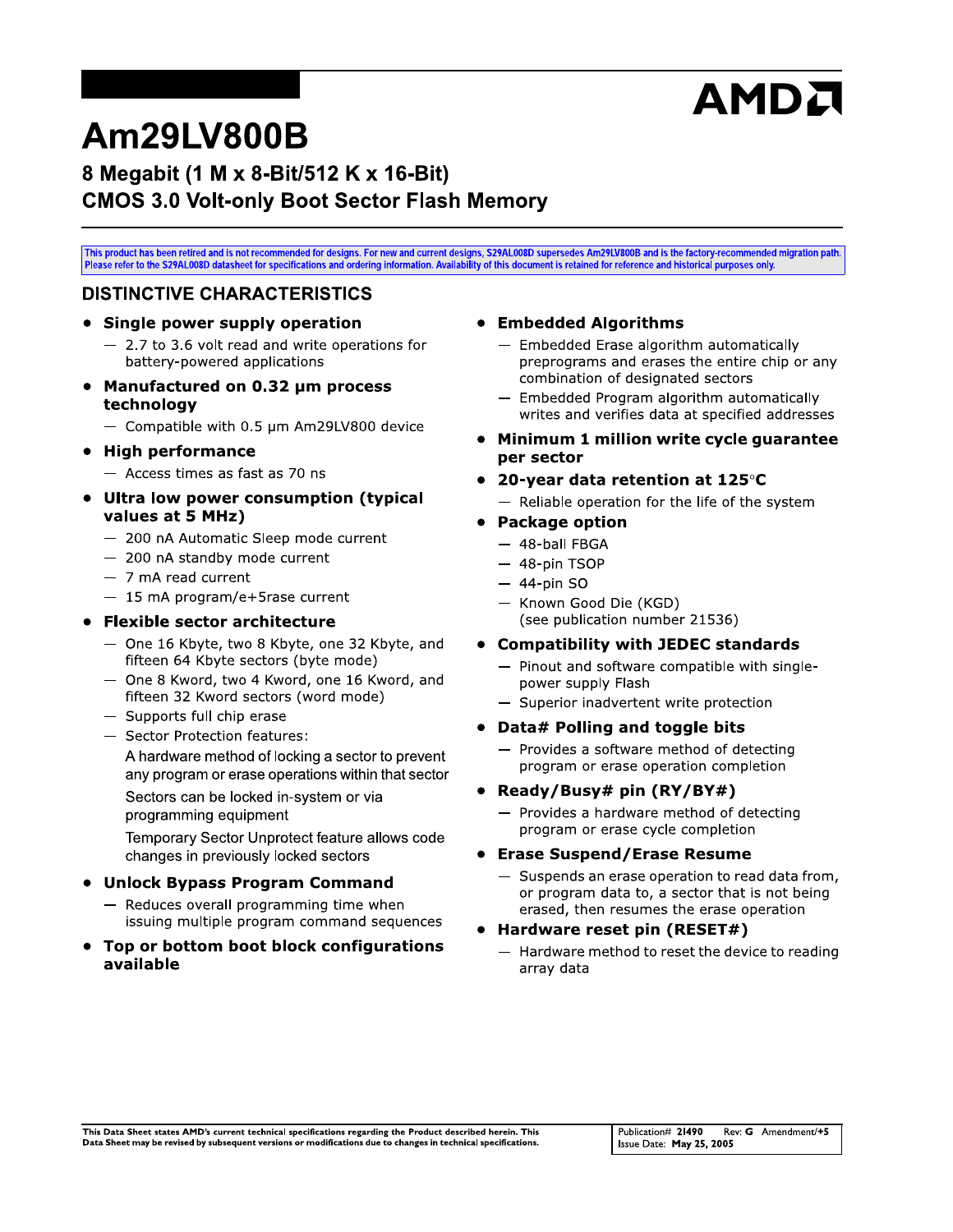# AMDA

## Am29LV800B

## 8 Megabit (1 M x 8-Bit/512 K x 16-Bit) **CMOS 3.0 Volt-only Boot Sector Flash Memory**

This product has been retired and is not recommended for designs. For new and current designs, S29AL008D supersedes Am29LV800B and is the factory-recommended migration path.<br>Please refer to the S29AL008D datasheet for spec

#### **DISTINCTIVE CHARACTERISTICS**

#### • Single power supply operation

- $-2.7$  to 3.6 volt read and write operations for battery-powered applications
- Manufactured on 0.32 um process technology
	- Compatible with 0.5 um Am29LV800 device

#### • High performance

- $-$  Access times as fast as 70 ns
- Ultra low power consumption (typical values at 5 MHz)
	- 200 nA Automatic Sleep mode current
	- 200 nA standby mode current
	- $-7$  mA read current
	- $-15$  mA program/e+5rase current

#### • Flexible sector architecture

- One 16 Kbyte, two 8 Kbyte, one 32 Kbyte, and fifteen 64 Kbyte sectors (byte mode)
- One 8 Kword, two 4 Kword, one 16 Kword, and fifteen 32 Kword sectors (word mode)
- $-$  Supports full chip erase
- Sector Protection features:

A hardware method of locking a sector to prevent any program or erase operations within that sector

Sectors can be locked in-system or via programming equipment

Temporary Sector Unprotect feature allows code changes in previously locked sectors

#### • Unlock Bypass Program Command

- Reduces overall programming time when issuing multiple program command sequences
- Top or bottom boot block configurations available

#### • Embedded Algorithms

- Embedded Erase algorithm automatically preprograms and erases the entire chip or any combination of designated sectors
- Embedded Program algorithm automatically writes and verifies data at specified addresses
- Minimum 1 million write cycle quarantee per sector
- 20-year data retention at 125 $\degree$ C
	- Reliable operation for the life of the system
- Package option
	- 48-ball FBGA
	- $-48$ -pin TSOP
	- $-44$ -pin SO
	- Known Good Die (KGD) (see publication number 21536)
- **Compatibility with JEDEC standards** 
	- Pinout and software compatible with singlepower supply Flash
	- Superior inadvertent write protection

#### Data# Polling and toggle bits

- $-$  Provides a software method of detecting program or erase operation completion
- Ready/Busy# pin (RY/BY#)  $\bullet$ 
	- Provides a hardware method of detecting program or erase cycle completion

#### • Erase Suspend/Erase Resume

- Suspends an erase operation to read data from, or program data to, a sector that is not being erased, then resumes the erase operation
- Hardware reset pin (RESET#)
	- Hardware method to reset the device to reading array data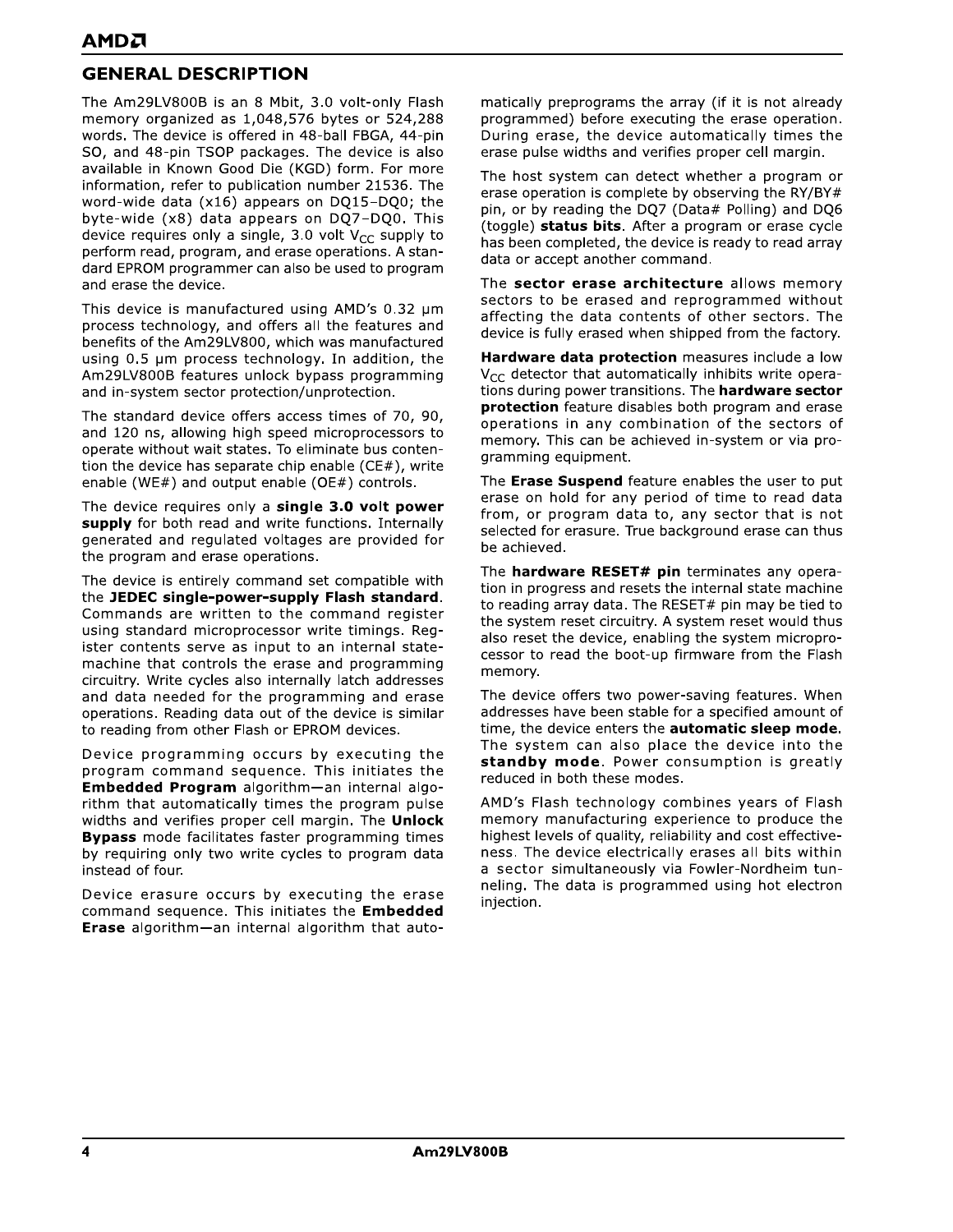## **GENERAL DESCRIPTION**

The Am29LV800B is an 8 Mbit, 3.0 volt-only Flash memory organized as 1,048,576 bytes or 524,288 words. The device is offered in 48-ball FBGA, 44-pin SO, and 48-pin TSOP packages. The device is also available in Known Good Die (KGD) form. For more information, refer to publication number 21536. The word-wide data (x16) appears on DQ15-DQ0; the byte-wide (x8) data appears on DQ7-DQ0. This device requires only a single, 3.0 volt  $V_{CC}$  supply to perform read, program, and erase operations. A standard EPROM programmer can also be used to program and erase the device.

This device is manufactured using AMD's 0.32 um process technology, and offers all the features and benefits of the Am29LV800, which was manufactured using 0.5 µm process technology. In addition, the Am29LV800B features unlock bypass programming and in-system sector protection/unprotection.

The standard device offers access times of 70, 90, and 120 ns, allowing high speed microprocessors to operate without wait states. To eliminate bus contention the device has separate chip enable ( $CE#$ ), write enable (WE#) and output enable (OE#) controls.

The device requires only a single 3.0 volt power supply for both read and write functions. Internally generated and regulated voltages are provided for the program and erase operations.

The device is entirely command set compatible with the JEDEC single-power-supply Flash standard. Commands are written to the command register using standard microprocessor write timings. Register contents serve as input to an internal statemachine that controls the erase and programming circuitry. Write cycles also internally latch addresses and data needed for the programming and erase operations. Reading data out of the device is similar to reading from other Flash or EPROM devices.

Device programming occurs by executing the program command sequence. This initiates the Embedded Program algorithm-an internal algorithm that automatically times the program pulse widths and verifies proper cell margin. The Unlock **Bypass** mode facilitates faster programming times by requiring only two write cycles to program data instead of four.

Device erasure occurs by executing the erase command sequence. This initiates the **Embedded Erase** algorithm-an internal algorithm that automatically preprograms the array (if it is not already programmed) before executing the erase operation. During erase, the device automatically times the erase pulse widths and verifies proper cell margin.

The host system can detect whether a program or erase operation is complete by observing the RY/BY# pin, or by reading the DQ7 (Data# Polling) and DQ6 (toggle) status bits. After a program or erase cycle has been completed, the device is ready to read array data or accept another command.

The sector erase architecture allows memory sectors to be erased and reprogrammed without affecting the data contents of other sectors. The device is fully erased when shipped from the factory.

Hardware data protection measures include a low  $V_{CC}$  detector that automatically inhibits write operations during power transitions. The hardware sector **protection** feature disables both program and erase operations in any combination of the sectors of memory. This can be achieved in-system or via programming equipment.

The Erase Suspend feature enables the user to put erase on hold for any period of time to read data from, or program data to, any sector that is not selected for erasure. True background erase can thus be achieved.

The hardware RESET# pin terminates any operation in progress and resets the internal state machine to reading array data. The RESET# pin may be tied to the system reset circuitry. A system reset would thus also reset the device, enabling the system microprocessor to read the boot-up firmware from the Flash memory.

The device offers two power-saving features. When addresses have been stable for a specified amount of time, the device enters the automatic sleep mode. The system can also place the device into the standby mode. Power consumption is greatly reduced in both these modes.

AMD's Flash technology combines years of Flash memory manufacturing experience to produce the highest levels of quality, reliability and cost effectiveness. The device electrically erases all bits within a sector simultaneously via Fowler-Nordheim tunneling. The data is programmed using hot electron injection.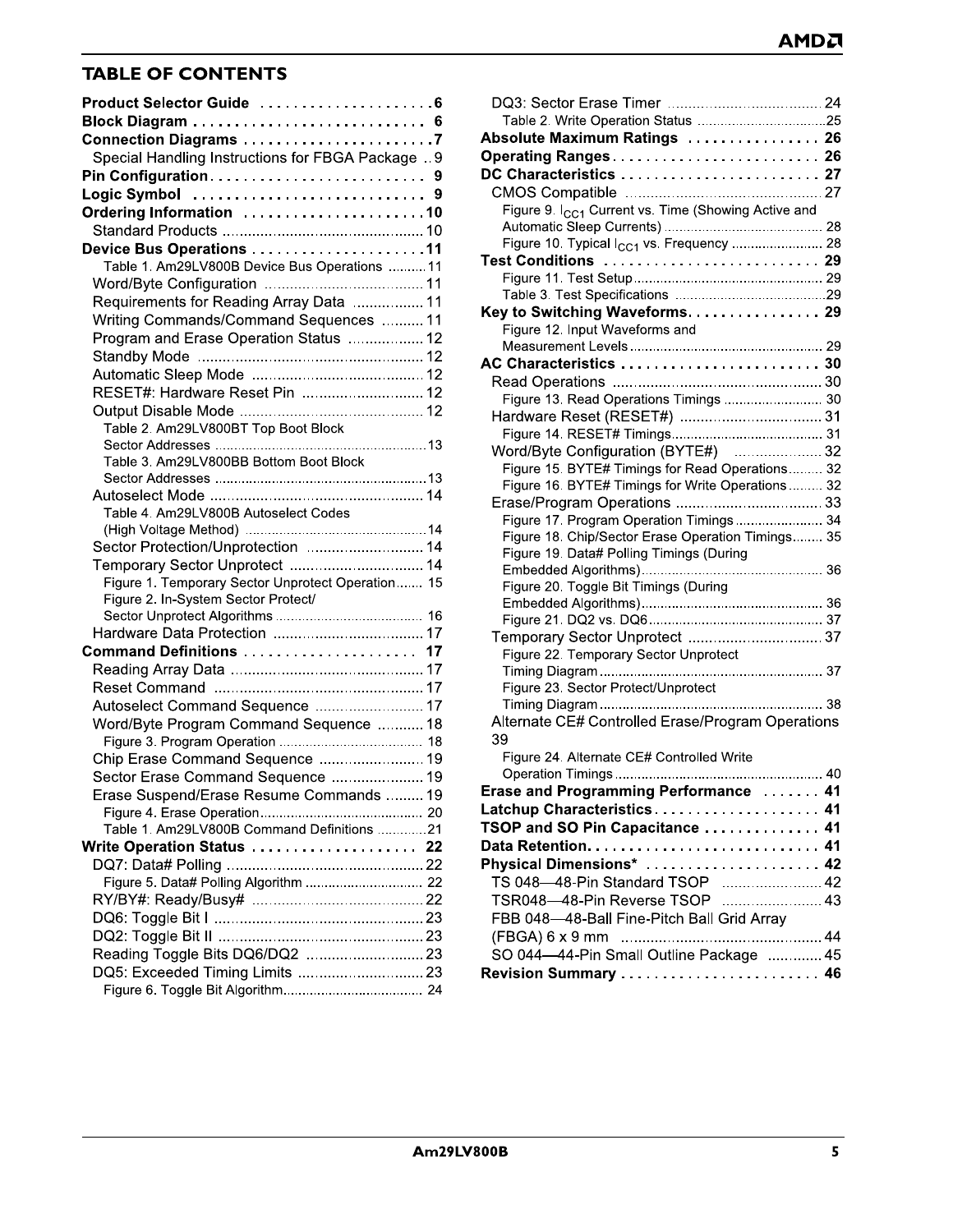## **IABLE OF CONTENTS**

| <b>TABLE OF CONTENTS</b>                          |  |
|---------------------------------------------------|--|
| Product Selector Guide 6                          |  |
| Block Diagram  6                                  |  |
| Connection Diagrams 7                             |  |
| Special Handling Instructions for FBGA Package  9 |  |
|                                                   |  |
|                                                   |  |
| Ordering Information 10                           |  |
| Device Bus Operations 11                          |  |
| Table 1. Am29LV800B Device Bus Operations 11      |  |
|                                                   |  |
| Requirements for Reading Array Data  11           |  |
| Writing Commands/Command Sequences  11            |  |
| Program and Erase Operation Status  12            |  |
|                                                   |  |
|                                                   |  |
| RESET#: Hardware Reset Pin  12                    |  |
|                                                   |  |
| Table 2. Am29LV800BT Top Boot Block               |  |
|                                                   |  |
| Table 3. Am29LV800BB Bottom Boot Block            |  |
|                                                   |  |
|                                                   |  |
| Table 4. Am29LV800B Autoselect Codes              |  |
|                                                   |  |
| Sector Protection/Unprotection  14                |  |
| Temporary Sector Unprotect  14                    |  |
| Figure 1. Temporary Sector Unprotect Operation 15 |  |
| Figure 2. In-System Sector Protect/               |  |
|                                                   |  |
|                                                   |  |
| Command Definitions  17                           |  |
|                                                   |  |
|                                                   |  |
| Autoselect Command Sequence  17                   |  |
| Word/Byte Program Command Sequence  18            |  |
|                                                   |  |
| Chip Erase Command Sequence  19                   |  |
| Sector Erase Command Sequence  19                 |  |
| Erase Suspend/Erase Resume Commands  19           |  |
|                                                   |  |
| Table 1. Am29LV800B Command Definitions 21        |  |
| Write Operation Status  22                        |  |
|                                                   |  |
| Figure 5. Data# Polling Algorithm  22             |  |
|                                                   |  |
|                                                   |  |
|                                                   |  |
| Reading Toggle Bits DQ6/DQ2  23                   |  |
|                                                   |  |
|                                                   |  |

|              | AMDA                                                            |
|--------------|-----------------------------------------------------------------|
|              |                                                                 |
| . 6          |                                                                 |
| . 6          |                                                                 |
| . 7          | Absolute Maximum Ratings  26                                    |
| A Package 9  | Operating Ranges 26                                             |
| . 9          | DC Characteristics  27                                          |
| . 9          |                                                                 |
| . 10         | Figure 9. I <sub>CC1</sub> Current vs. Time (Showing Active and |
| . 10         |                                                                 |
| . 11         | Figure 10. Typical I <sub>CC1</sub> vs. Frequency  28           |
| rations 11   | Test Conditions  29                                             |
| . 11         |                                                                 |
| a ………………11   |                                                                 |
| nces 11      | Key to Switching Waveforms. 29                                  |
| . 12         | Figure 12. Input Waveforms and                                  |
| . 12         |                                                                 |
|              | AC Characteristics  30                                          |
|              |                                                                 |
| 12           | Figure 13. Read Operations Timings  30                          |
| . 12         |                                                                 |
|              |                                                                 |
|              | Word/Byte Configuration (BYTE#)  32                             |
| lock         | Figure 15. BYTE# Timings for Read Operations 32                 |
| . 14         | Figure 16. BYTE# Timings for Write Operations 32                |
|              |                                                                 |
| S.           | Figure 17. Program Operation Timings 34                         |
| . 14         | Figure 18. Chip/Sector Erase Operation Timings 35               |
| . 14         | Figure 19. Data# Polling Timings (During                        |
| Dperation 15 |                                                                 |
|              | Figure 20. Toggle Bit Timings (During                           |
| 16           |                                                                 |
|              |                                                                 |
| . 17         | Temporary Sector Unprotect  37                                  |
| . 17         | Figure 22. Temporary Sector Unprotect                           |
|              |                                                                 |
|              | Figure 23. Sector Protect/Unprotect                             |
| . 17         | Alternate CE# Controlled Erase/Program Operations               |
| эnce   18    | 39                                                              |
| 18           |                                                                 |
| . 19         | Figure 24. Alternate CE# Controlled Write                       |
| . 19         | Erase and Programming Performance  41                           |
| nands  19    | Latchup Characteristics 41                                      |
| 20           |                                                                 |
| itions 21    | TSOP and SO Pin Capacitance  41                                 |
| . 22         |                                                                 |
| . 22         | Physical Dimensions*  42                                        |
| 22           |                                                                 |
| . 22         | TSR048-48-Pin Reverse TSOP  43                                  |
| . 23         | FBB 048-48-Ball Fine-Pitch Ball Grid Array                      |
| . 23         |                                                                 |
|              | SO 044-44-Pin Small Outline Package  45                         |
|              | Revision Summary  46                                            |
| 24           |                                                                 |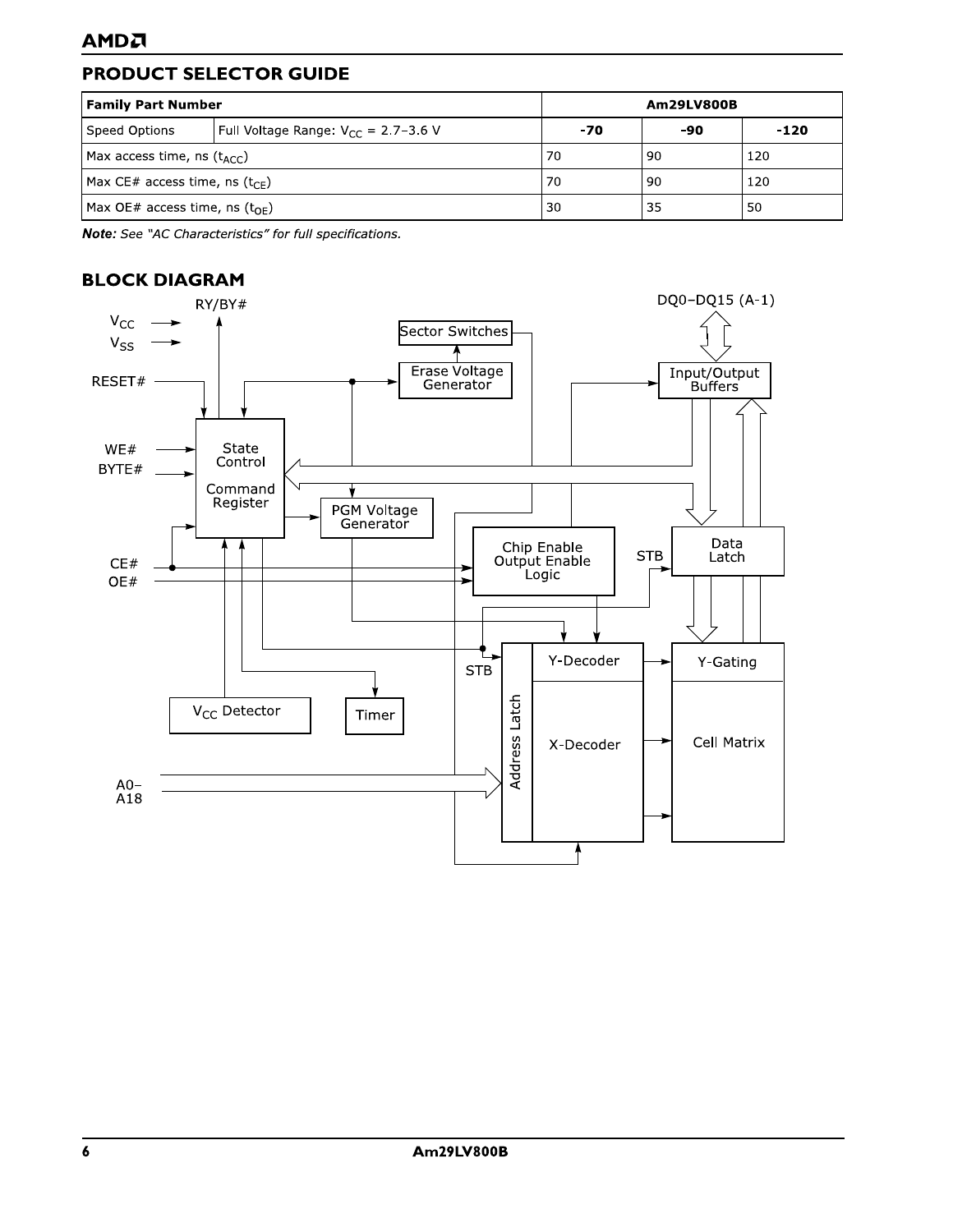## PRODUCT SELECTOR GUIDE

| <b>Family Part Number</b>                 | Am29LV800B                                 |     |      |        |
|-------------------------------------------|--------------------------------------------|-----|------|--------|
| Speed Options                             | Full Voltage Range: $V_{CC} = 2.7 - 3.6$ V | -70 | -90  | $-120$ |
| Max access time, ns $(t_{ACC})$           |                                            | 70  | l 90 | 120    |
| Max CE# access time, ns $(t_{\text{CF}})$ |                                            | 70  | -90  | 120    |
| Max OE# access time, ns $(t_{\Omega F})$  |                                            | 30  | -35  | 50     |

Note: See "AC Characteristics" for full specifications.

## **BLOCK DIAGRAM**

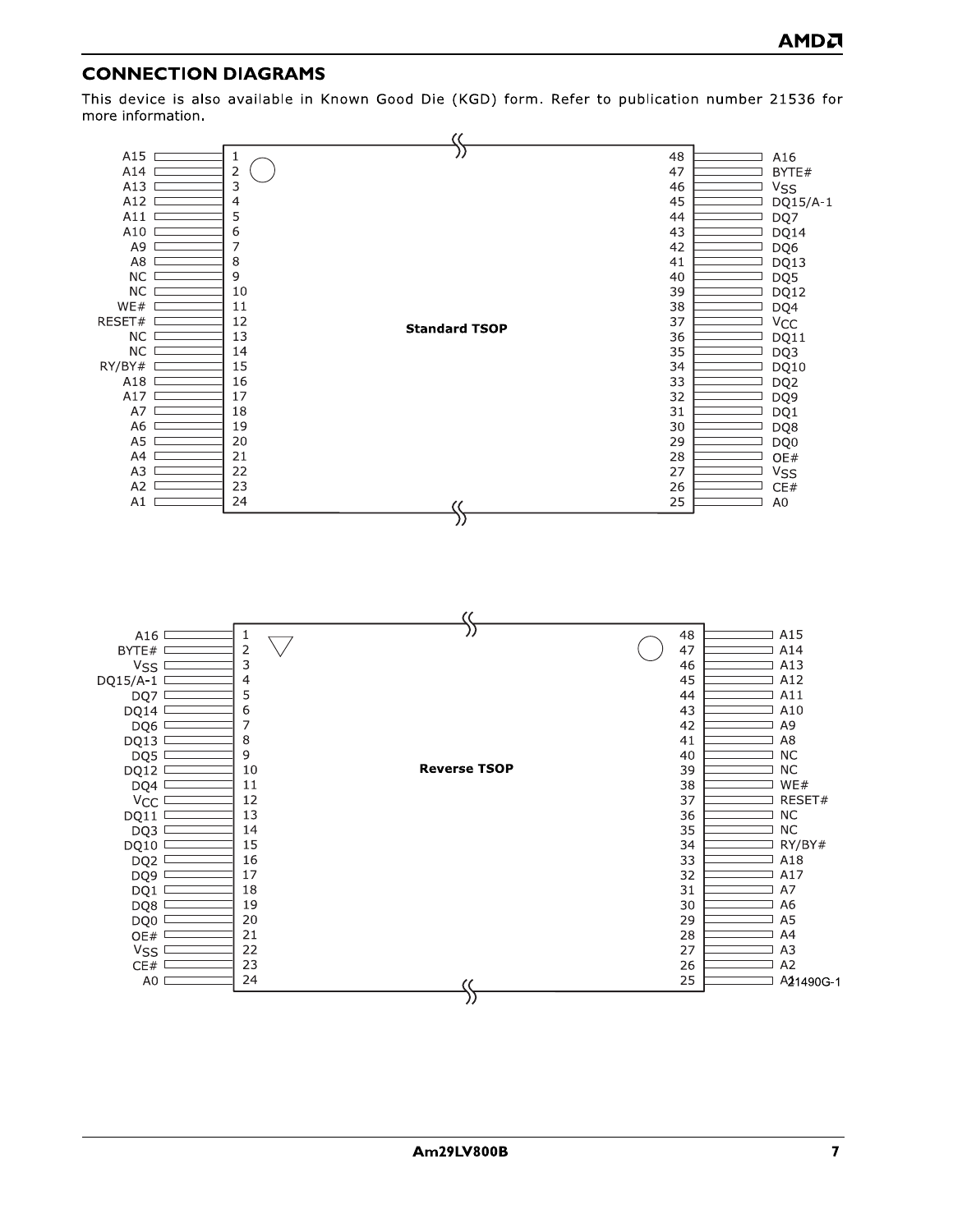## **CONNEC**

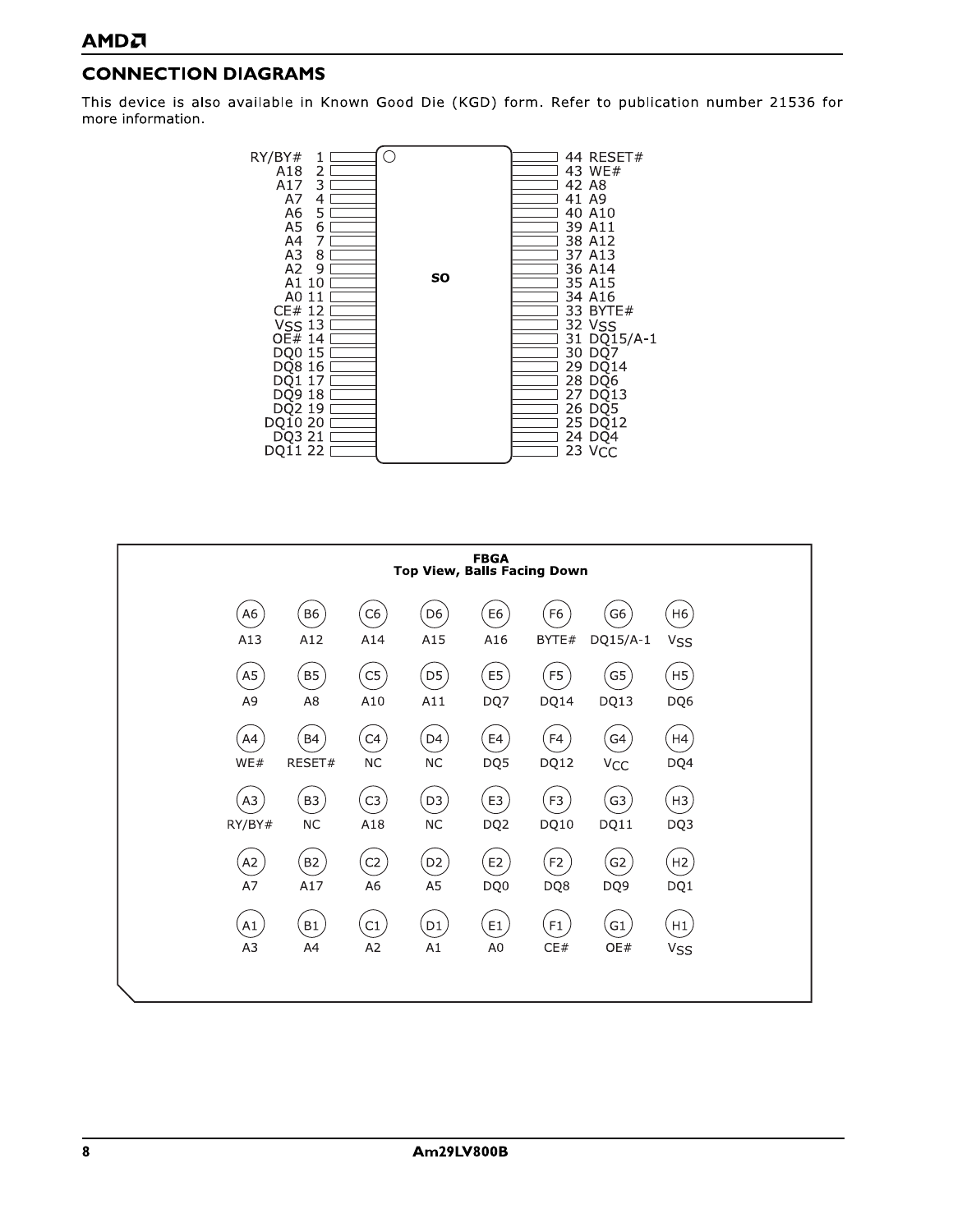## **CONNECTION DIAGRAMS**

This device is also available in Known Good Die (KGD) form. Refer to publication number 21536 for more information.



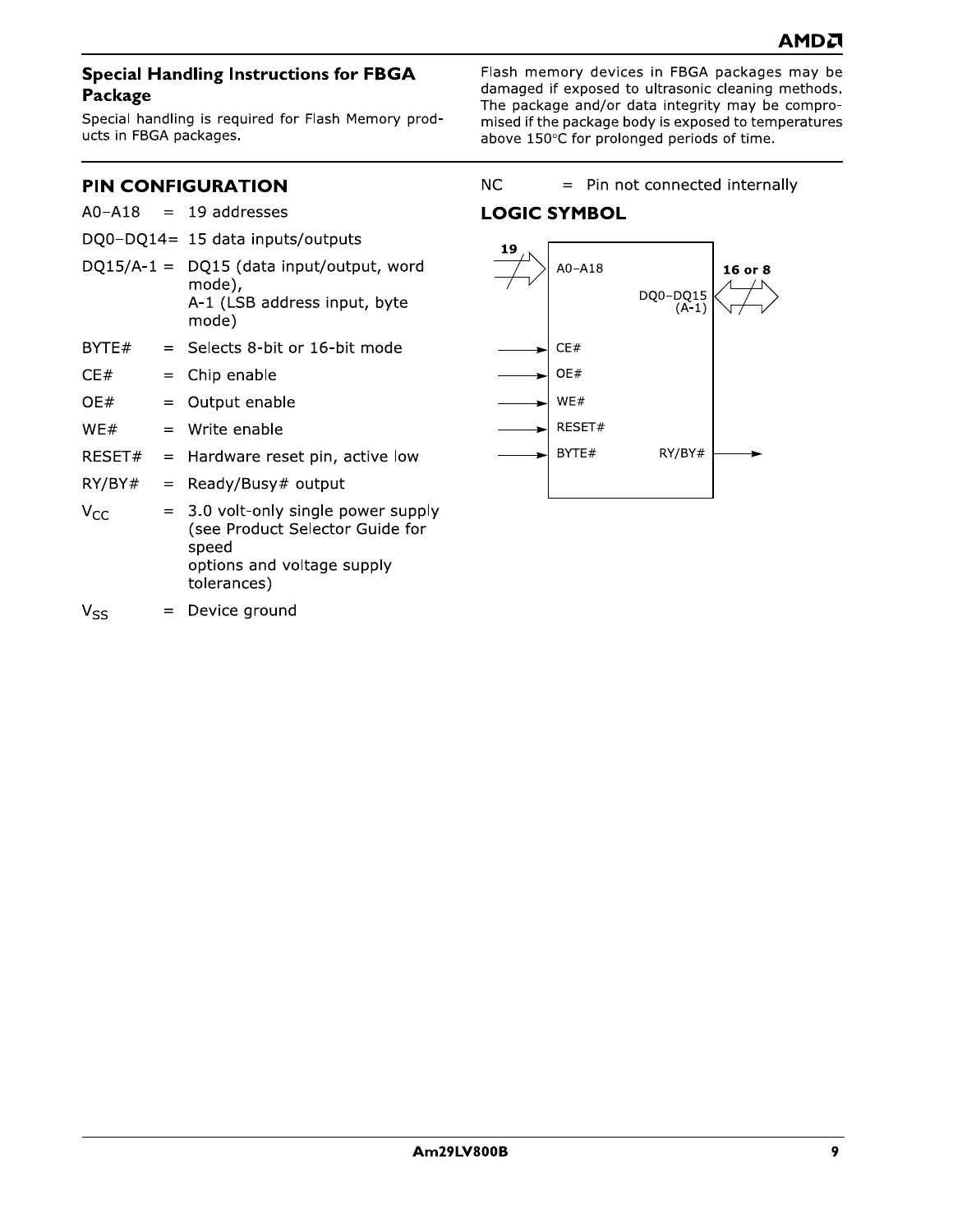#### **Special Handling Instructions for FBGA** Package

Special handling is required for Flash Memory products in FBGA packages.

Flash memory devices in FBGA packages may be damaged if exposed to ultrasonic cleaning methods. The package and/or data integrity may be compromised if the package body is exposed to temperatures above 150°C for prolonged periods of time.

## **PIN CONFIGURATION**

|          |     | $AO- A18 = 19$ addresses                                                                                                     |
|----------|-----|------------------------------------------------------------------------------------------------------------------------------|
|          |     | DQ0-DQ14= 15 data inputs/outputs                                                                                             |
|          |     | $DQ15/A-1 = DQ15$ (data input/output, word<br>mode),<br>A-1 (LSB address input, byte<br>mode)                                |
| BYTE#    |     | $=$ Selects 8-bit or 16-bit mode                                                                                             |
| CE#      |     | $=$ Chip enable                                                                                                              |
| OE#      |     | $=$ Output enable                                                                                                            |
| WE#      |     | $=$ Write enable                                                                                                             |
| RESET#   |     | $=$ Hardware reset pin, active low                                                                                           |
| RY/BY#   | $=$ | Ready/Busy# output                                                                                                           |
| $V_{CC}$ |     | = 3.0 volt-only single power supply<br>(see Product Selector Guide for<br>speed<br>options and voltage supply<br>tolerances) |

= Device ground  $V_{SS}$ 

 $NC$ = Pin not connected internally

## **LOGIC SYMBOL**